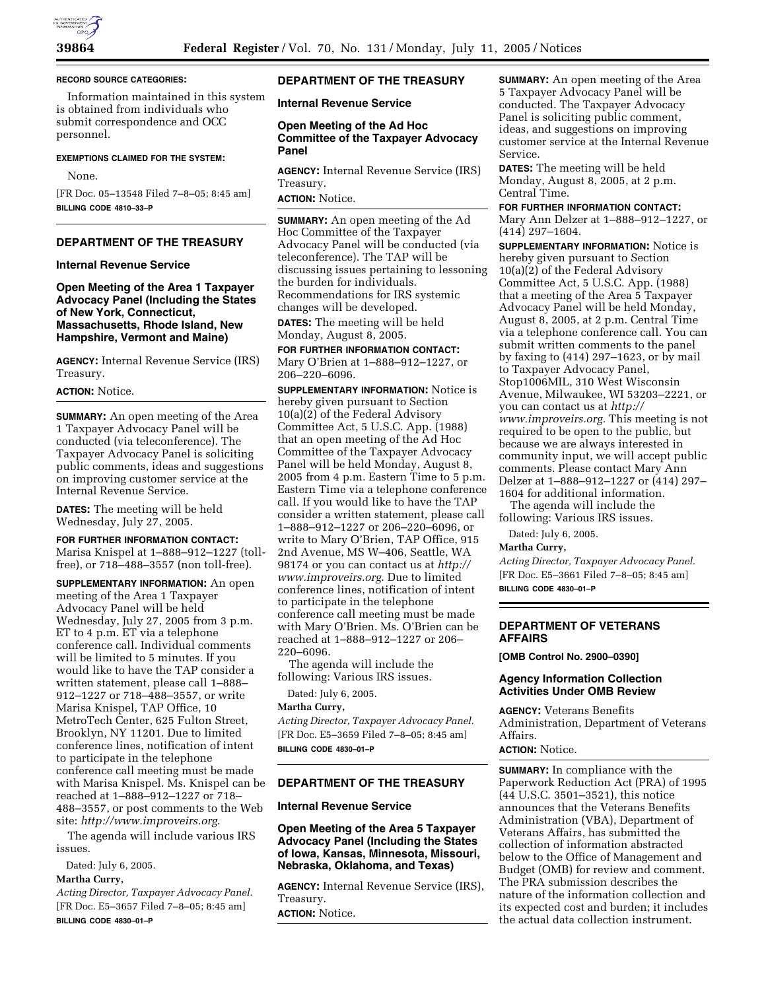#### **RECORD SOURCE CATEGORIES:**

Information maintained in this system is obtained from individuals who submit correspondence and OCC personnel.

#### **EXEMPTIONS CLAIMED FOR THE SYSTEM:**

#### None.

[FR Doc. 05–13548 Filed 7–8–05; 8:45 am] **BILLING CODE 4810–33–P**

## **DEPARTMENT OF THE TREASURY**

#### **Internal Revenue Service**

**Open Meeting of the Area 1 Taxpayer Advocacy Panel (Including the States of New York, Connecticut, Massachusetts, Rhode Island, New Hampshire, Vermont and Maine)**

**AGENCY:** Internal Revenue Service (IRS) Treasury.

#### **ACTION:** Notice.

**SUMMARY:** An open meeting of the Area 1 Taxpayer Advocacy Panel will be conducted (via teleconference). The Taxpayer Advocacy Panel is soliciting public comments, ideas and suggestions on improving customer service at the Internal Revenue Service.

**DATES:** The meeting will be held Wednesday, July 27, 2005.

#### **FOR FURTHER INFORMATION CONTACT:**

Marisa Knispel at 1–888–912–1227 (tollfree), or 718–488–3557 (non toll-free).

**SUPPLEMENTARY INFORMATION:** An open meeting of the Area 1 Taxpayer Advocacy Panel will be held Wednesday, July 27, 2005 from 3 p.m. ET to 4 p.m. ET via a telephone conference call. Individual comments will be limited to 5 minutes. If you would like to have the TAP consider a written statement, please call 1–888– 912–1227 or 718–488–3557, or write Marisa Knispel, TAP Office, 10 MetroTech Center, 625 Fulton Street, Brooklyn, NY 11201. Due to limited conference lines, notification of intent to participate in the telephone conference call meeting must be made with Marisa Knispel. Ms. Knispel can be reached at 1–888–912–1227 or 718– 488–3557, or post comments to the Web site: *http://www.improveirs.org*.

The agenda will include various IRS issues.

Dated: July 6, 2005.

# **Martha Curry,**

*Acting Director, Taxpayer Advocacy Panel.* [FR Doc. E5–3657 Filed 7–8–05; 8:45 am] **BILLING CODE 4830–01–P**

#### **DEPARTMENT OF THE TREASURY**

**Internal Revenue Service** 

### **Open Meeting of the Ad Hoc Committee of the Taxpayer Advocacy Panel**

**AGENCY:** Internal Revenue Service (IRS) Treasury.

**ACTION:** Notice.

**SUMMARY:** An open meeting of the Ad Hoc Committee of the Taxpayer Advocacy Panel will be conducted (via teleconference). The TAP will be discussing issues pertaining to lessoning the burden for individuals. Recommendations for IRS systemic changes will be developed.

**DATES:** The meeting will be held Monday, August 8, 2005.

**FOR FURTHER INFORMATION CONTACT:** Mary O'Brien at 1–888–912–1227, or 206–220–6096.

**SUPPLEMENTARY INFORMATION:** Notice is hereby given pursuant to Section 10(a)(2) of the Federal Advisory Committee Act, 5 U.S.C. App. (1988) that an open meeting of the Ad Hoc Committee of the Taxpayer Advocacy Panel will be held Monday, August 8, 2005 from 4 p.m. Eastern Time to 5 p.m. Eastern Time via a telephone conference call. If you would like to have the TAP consider a written statement, please call 1–888–912–1227 or 206–220–6096, or write to Mary O'Brien, TAP Office, 915 2nd Avenue, MS W–406, Seattle, WA 98174 or you can contact us at *http:// www.improveirs.org*. Due to limited conference lines, notification of intent to participate in the telephone conference call meeting must be made with Mary O'Brien. Ms. O'Brien can be reached at 1–888–912–1227 or 206– 220–6096.

The agenda will include the following: Various IRS issues.

Dated: July 6, 2005.

#### **Martha Curry,**

*Acting Director, Taxpayer Advocacy Panel.* [FR Doc. E5–3659 Filed 7–8–05; 8:45 am] **BILLING CODE 4830–01–P**

## **DEPARTMENT OF THE TREASURY**

## **Internal Revenue Service**

## **Open Meeting of the Area 5 Taxpayer Advocacy Panel (Including the States of Iowa, Kansas, Minnesota, Missouri, Nebraska, Oklahoma, and Texas)**

**AGENCY:** Internal Revenue Service (IRS), Treasury.

**ACTION:** Notice.

**SUMMARY:** An open meeting of the Area 5 Taxpayer Advocacy Panel will be conducted. The Taxpayer Advocacy Panel is soliciting public comment, ideas, and suggestions on improving customer service at the Internal Revenue Service.

**DATES:** The meeting will be held Monday, August 8, 2005, at 2 p.m. Central Time.

**FOR FURTHER INFORMATION CONTACT:**

Mary Ann Delzer at 1–888–912–1227, or (414) 297–1604.

**SUPPLEMENTARY INFORMATION:** Notice is hereby given pursuant to Section 10(a)(2) of the Federal Advisory Committee Act, 5 U.S.C. App. (1988) that a meeting of the Area 5 Taxpayer Advocacy Panel will be held Monday, August 8, 2005, at 2 p.m. Central Time via a telephone conference call. You can submit written comments to the panel by faxing to (414) 297–1623, or by mail to Taxpayer Advocacy Panel, Stop1006MIL, 310 West Wisconsin Avenue, Milwaukee, WI 53203–2221, or you can contact us at *http:// www.improveirs.org.* This meeting is not required to be open to the public, but because we are always interested in community input, we will accept public comments. Please contact Mary Ann Delzer at 1–888–912–1227 or (414) 297– 1604 for additional information.

The agenda will include the following: Various IRS issues.

Dated: July 6, 2005.

#### **Martha Curry,**

*Acting Director, Taxpayer Advocacy Panel.* [FR Doc. E5–3661 Filed 7–8–05; 8:45 am] **BILLING CODE 4830–01–P**

## **DEPARTMENT OF VETERANS AFFAIRS**

**[OMB Control No. 2900–0390]** 

## **Agency Information Collection Activities Under OMB Review**

**AGENCY:** Veterans Benefits Administration, Department of Veterans Affairs.

# **ACTION:** Notice.

**SUMMARY:** In compliance with the Paperwork Reduction Act (PRA) of 1995 (44 U.S.C. 3501–3521), this notice announces that the Veterans Benefits Administration (VBA), Department of Veterans Affairs, has submitted the collection of information abstracted below to the Office of Management and Budget (OMB) for review and comment. The PRA submission describes the nature of the information collection and its expected cost and burden; it includes the actual data collection instrument.